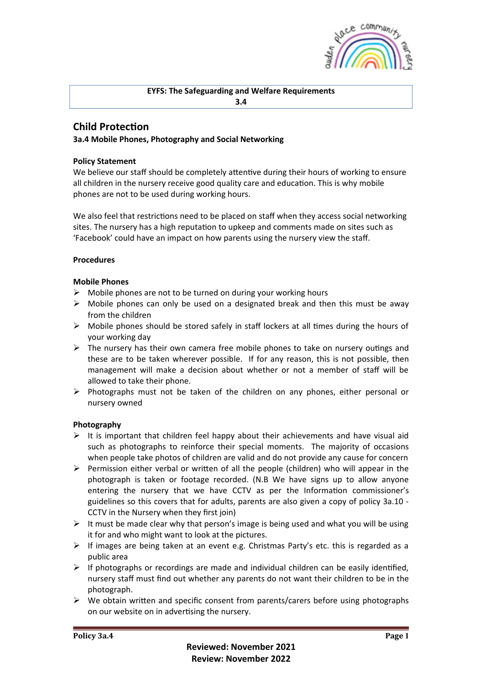

## **EYFS: The Safeguarding and Welfare Requirements 3.4**

# **Child Protection**

# **3a.4 Mobile Phones, Photography and Social Networking**

## **Policy Statement**

We believe our staff should be completely attentive during their hours of working to ensure all children in the nursery receive good quality care and education. This is why mobile phones are not to be used during working hours.

We also feel that restrictions need to be placed on staff when they access social networking sites. The nursery has a high reputation to upkeep and comments made on sites such as 'Facebook' could have an impact on how parents using the nursery view the staff.

#### **Procedures**

## **Mobile Phones**

- $\triangleright$  Mobile phones are not to be turned on during your working hours
- $\triangleright$  Mobile phones can only be used on a designated break and then this must be away from the children
- $\triangleright$  Mobile phones should be stored safely in staff lockers at all times during the hours of your working day
- $\triangleright$  The nursery has their own camera free mobile phones to take on nursery outings and these are to be taken wherever possible. If for any reason, this is not possible, then management will make a decision about whether or not a member of staff will be allowed to take their phone.
- $\triangleright$  Photographs must not be taken of the children on any phones, either personal or nursery owned

# **Photography**

- $\triangleright$  It is important that children feel happy about their achievements and have visual aid such as photographs to reinforce their special moments. The majority of occasions when people take photos of children are valid and do not provide any cause for concern
- $\triangleright$  Permission either verbal or written of all the people (children) who will appear in the photograph is taken or footage recorded. (N.B We have signs up to allow anyone entering the nursery that we have CCTV as per the Information commissioner's guidelines so this covers that for adults, parents are also given a copy of policy 3a.10 - CCTV in the Nursery when they first join)
- $\triangleright$  It must be made clear why that person's image is being used and what you will be using it for and who might want to look at the pictures.
- $\triangleright$  If images are being taken at an event e.g. Christmas Party's etc. this is regarded as a public area
- $\triangleright$  If photographs or recordings are made and individual children can be easily identified, nursery staff must find out whether any parents do not want their children to be in the photograph.
- $\triangleright$  We obtain written and specific consent from parents/carers before using photographs on our website on in advertising the nursery.